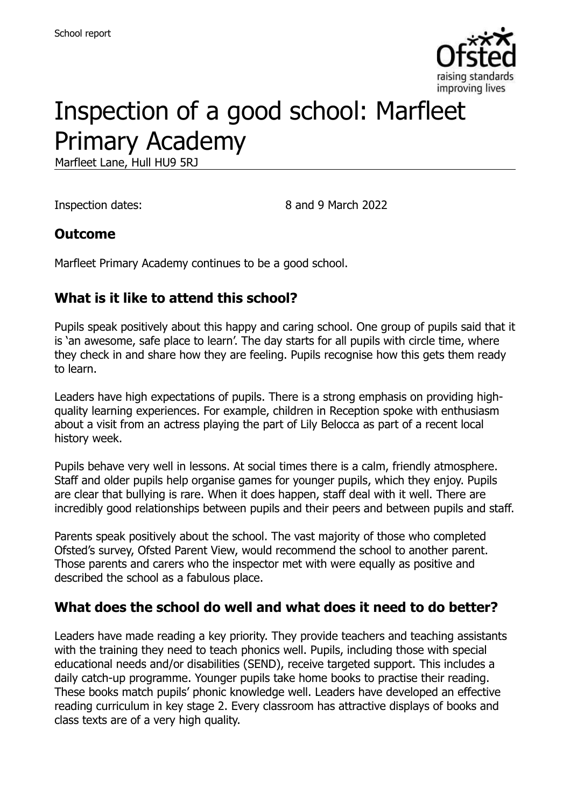

# Inspection of a good school: Marfleet Primary Academy

Marfleet Lane, Hull HU9 5RJ

Inspection dates: 8 and 9 March 2022

### **Outcome**

Marfleet Primary Academy continues to be a good school.

### **What is it like to attend this school?**

Pupils speak positively about this happy and caring school. One group of pupils said that it is 'an awesome, safe place to learn'. The day starts for all pupils with circle time, where they check in and share how they are feeling. Pupils recognise how this gets them ready to learn.

Leaders have high expectations of pupils. There is a strong emphasis on providing highquality learning experiences. For example, children in Reception spoke with enthusiasm about a visit from an actress playing the part of Lily Belocca as part of a recent local history week.

Pupils behave very well in lessons. At social times there is a calm, friendly atmosphere. Staff and older pupils help organise games for younger pupils, which they enjoy. Pupils are clear that bullying is rare. When it does happen, staff deal with it well. There are incredibly good relationships between pupils and their peers and between pupils and staff.

Parents speak positively about the school. The vast majority of those who completed Ofsted's survey, Ofsted Parent View, would recommend the school to another parent. Those parents and carers who the inspector met with were equally as positive and described the school as a fabulous place.

#### **What does the school do well and what does it need to do better?**

Leaders have made reading a key priority. They provide teachers and teaching assistants with the training they need to teach phonics well. Pupils, including those with special educational needs and/or disabilities (SEND), receive targeted support. This includes a daily catch-up programme. Younger pupils take home books to practise their reading. These books match pupils' phonic knowledge well. Leaders have developed an effective reading curriculum in key stage 2. Every classroom has attractive displays of books and class texts are of a very high quality.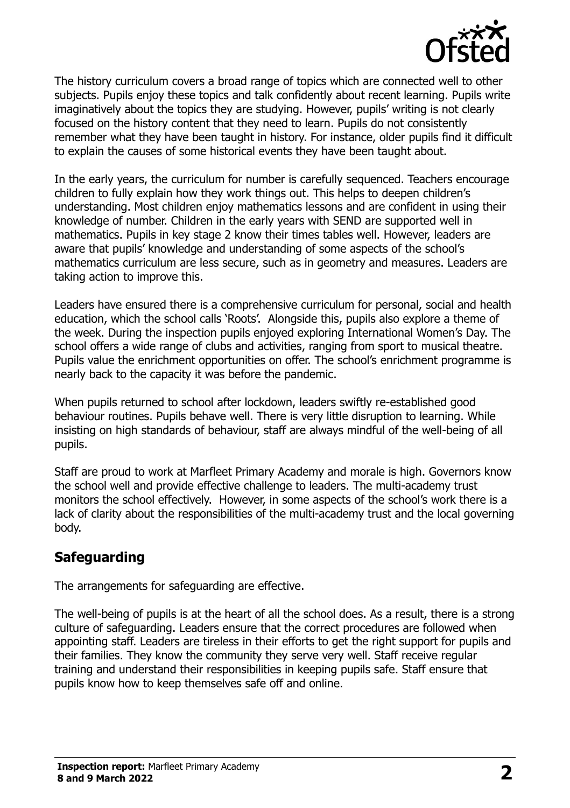

The history curriculum covers a broad range of topics which are connected well to other subjects. Pupils enjoy these topics and talk confidently about recent learning. Pupils write imaginatively about the topics they are studying. However, pupils' writing is not clearly focused on the history content that they need to learn. Pupils do not consistently remember what they have been taught in history. For instance, older pupils find it difficult to explain the causes of some historical events they have been taught about.

In the early years, the curriculum for number is carefully sequenced. Teachers encourage children to fully explain how they work things out. This helps to deepen children's understanding. Most children enjoy mathematics lessons and are confident in using their knowledge of number. Children in the early years with SEND are supported well in mathematics. Pupils in key stage 2 know their times tables well. However, leaders are aware that pupils' knowledge and understanding of some aspects of the school's mathematics curriculum are less secure, such as in geometry and measures. Leaders are taking action to improve this.

Leaders have ensured there is a comprehensive curriculum for personal, social and health education, which the school calls 'Roots'. Alongside this, pupils also explore a theme of the week. During the inspection pupils enjoyed exploring International Women's Day. The school offers a wide range of clubs and activities, ranging from sport to musical theatre. Pupils value the enrichment opportunities on offer. The school's enrichment programme is nearly back to the capacity it was before the pandemic.

When pupils returned to school after lockdown, leaders swiftly re-established good behaviour routines. Pupils behave well. There is very little disruption to learning. While insisting on high standards of behaviour, staff are always mindful of the well-being of all pupils.

Staff are proud to work at Marfleet Primary Academy and morale is high. Governors know the school well and provide effective challenge to leaders. The multi-academy trust monitors the school effectively. However, in some aspects of the school's work there is a lack of clarity about the responsibilities of the multi-academy trust and the local governing body.

## **Safeguarding**

The arrangements for safeguarding are effective.

The well-being of pupils is at the heart of all the school does. As a result, there is a strong culture of safeguarding. Leaders ensure that the correct procedures are followed when appointing staff. Leaders are tireless in their efforts to get the right support for pupils and their families. They know the community they serve very well. Staff receive regular training and understand their responsibilities in keeping pupils safe. Staff ensure that pupils know how to keep themselves safe off and online.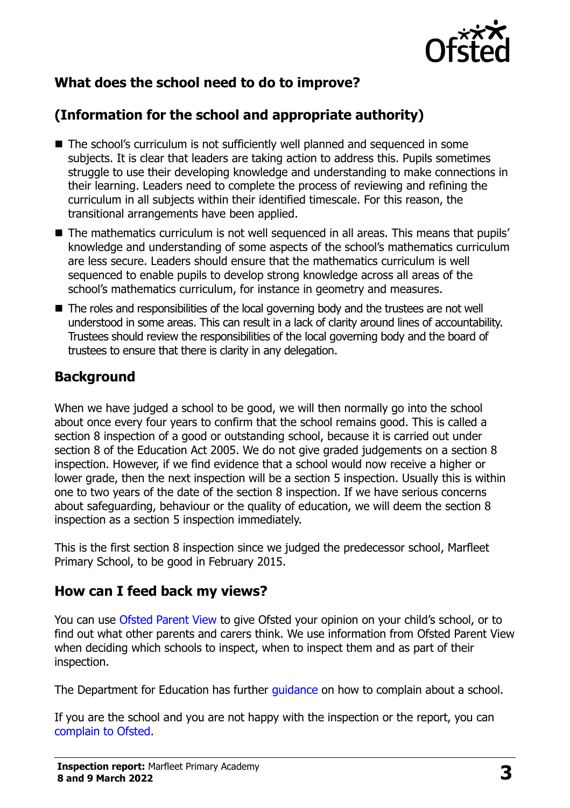

## **What does the school need to do to improve?**

## **(Information for the school and appropriate authority)**

- The school's curriculum is not sufficiently well planned and sequenced in some subjects. It is clear that leaders are taking action to address this. Pupils sometimes struggle to use their developing knowledge and understanding to make connections in their learning. Leaders need to complete the process of reviewing and refining the curriculum in all subjects within their identified timescale. For this reason, the transitional arrangements have been applied.
- The mathematics curriculum is not well sequenced in all areas. This means that pupils' knowledge and understanding of some aspects of the school's mathematics curriculum are less secure. Leaders should ensure that the mathematics curriculum is well sequenced to enable pupils to develop strong knowledge across all areas of the school's mathematics curriculum, for instance in geometry and measures.
- The roles and responsibilities of the local governing body and the trustees are not well understood in some areas. This can result in a lack of clarity around lines of accountability. Trustees should review the responsibilities of the local governing body and the board of trustees to ensure that there is clarity in any delegation.

### **Background**

When we have judged a school to be good, we will then normally go into the school about once every four years to confirm that the school remains good. This is called a section 8 inspection of a good or outstanding school, because it is carried out under section 8 of the Education Act 2005. We do not give graded judgements on a section 8 inspection. However, if we find evidence that a school would now receive a higher or lower grade, then the next inspection will be a section 5 inspection. Usually this is within one to two years of the date of the section 8 inspection. If we have serious concerns about safeguarding, behaviour or the quality of education, we will deem the section 8 inspection as a section 5 inspection immediately.

This is the first section 8 inspection since we judged the predecessor school, Marfleet Primary School, to be good in February 2015.

### **How can I feed back my views?**

You can use [Ofsted Parent View](https://parentview.ofsted.gov.uk/) to give Ofsted your opinion on your child's school, or to find out what other parents and carers think. We use information from Ofsted Parent View when deciding which schools to inspect, when to inspect them and as part of their inspection.

The Department for Education has further quidance on how to complain about a school.

If you are the school and you are not happy with the inspection or the report, you can [complain to Ofsted.](https://www.gov.uk/complain-ofsted-report)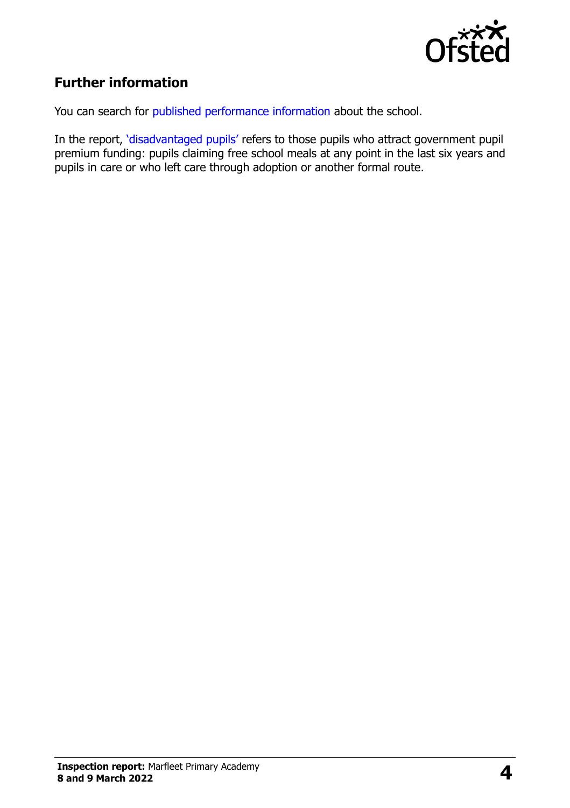

## **Further information**

You can search for [published performance information](http://www.compare-school-performance.service.gov.uk/) about the school.

In the report, '[disadvantaged pupils](http://www.gov.uk/guidance/pupil-premium-information-for-schools-and-alternative-provision-settings)' refers to those pupils who attract government pupil premium funding: pupils claiming free school meals at any point in the last six years and pupils in care or who left care through adoption or another formal route.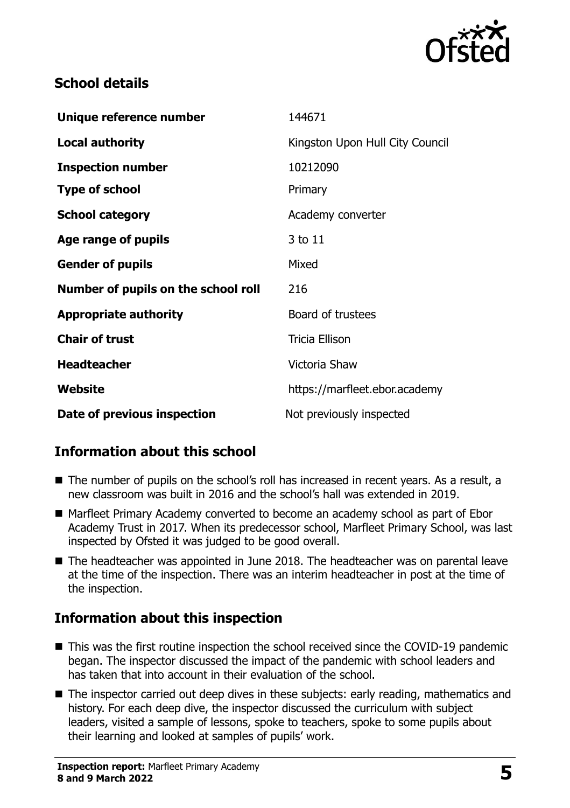

## **School details**

| Unique reference number             | 144671                          |
|-------------------------------------|---------------------------------|
| <b>Local authority</b>              | Kingston Upon Hull City Council |
| <b>Inspection number</b>            | 10212090                        |
| <b>Type of school</b>               | Primary                         |
| <b>School category</b>              | Academy converter               |
| Age range of pupils                 | 3 to 11                         |
| <b>Gender of pupils</b>             | Mixed                           |
| Number of pupils on the school roll | 216                             |
| <b>Appropriate authority</b>        | Board of trustees               |
| <b>Chair of trust</b>               | <b>Tricia Ellison</b>           |
| <b>Headteacher</b>                  | Victoria Shaw                   |
| Website                             | https://marfleet.ebor.academy   |
| Date of previous inspection         | Not previously inspected        |

## **Information about this school**

- The number of pupils on the school's roll has increased in recent years. As a result, a new classroom was built in 2016 and the school's hall was extended in 2019.
- Marfleet Primary Academy converted to become an academy school as part of Ebor Academy Trust in 2017. When its predecessor school, Marfleet Primary School, was last inspected by Ofsted it was judged to be good overall.
- The headteacher was appointed in June 2018. The headteacher was on parental leave at the time of the inspection. There was an interim headteacher in post at the time of the inspection.

## **Information about this inspection**

- This was the first routine inspection the school received since the COVID-19 pandemic began. The inspector discussed the impact of the pandemic with school leaders and has taken that into account in their evaluation of the school.
- The inspector carried out deep dives in these subiects: early reading, mathematics and history. For each deep dive, the inspector discussed the curriculum with subject leaders, visited a sample of lessons, spoke to teachers, spoke to some pupils about their learning and looked at samples of pupils' work.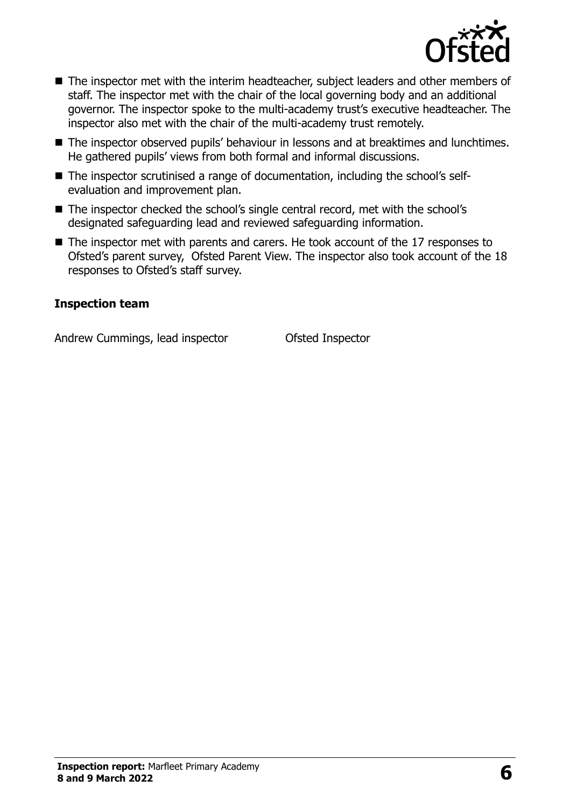

- The inspector met with the interim headteacher, subject leaders and other members of staff. The inspector met with the chair of the local governing body and an additional governor. The inspector spoke to the multi-academy trust's executive headteacher. The inspector also met with the chair of the multi-academy trust remotely.
- The inspector observed pupils' behaviour in lessons and at breaktimes and lunchtimes. He gathered pupils' views from both formal and informal discussions.
- The inspector scrutinised a range of documentation, including the school's selfevaluation and improvement plan.
- The inspector checked the school's single central record, met with the school's designated safeguarding lead and reviewed safeguarding information.
- The inspector met with parents and carers. He took account of the 17 responses to Ofsted's parent survey, Ofsted Parent View. The inspector also took account of the 18 responses to Ofsted's staff survey.

#### **Inspection team**

Andrew Cummings, lead inspector **Canadia** Ofsted Inspector